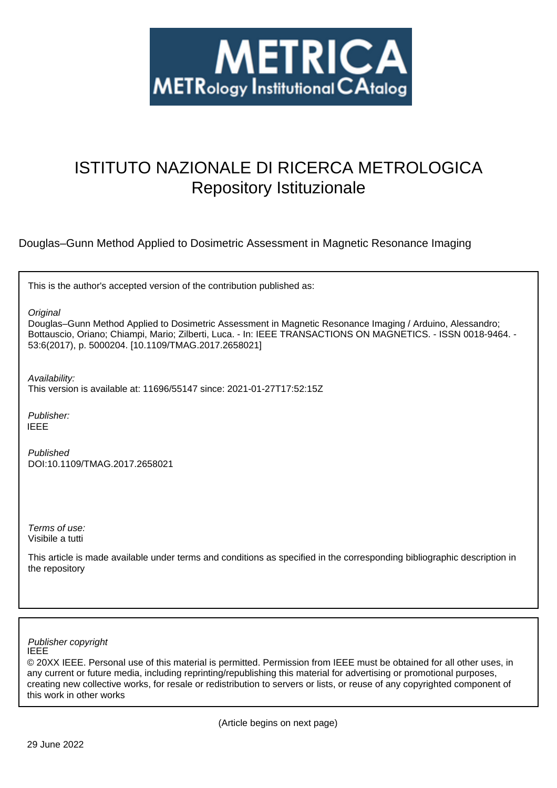

# ISTITUTO NAZIONALE DI RICERCA METROLOGICA Repository Istituzionale

Douglas–Gunn Method Applied to Dosimetric Assessment in Magnetic Resonance Imaging

This is the author's accepted version of the contribution published as:

**Original** 

Douglas–Gunn Method Applied to Dosimetric Assessment in Magnetic Resonance Imaging / Arduino, Alessandro; Bottauscio, Oriano; Chiampi, Mario; Zilberti, Luca. - In: IEEE TRANSACTIONS ON MAGNETICS. - ISSN 0018-9464. - 53:6(2017), p. 5000204. [10.1109/TMAG.2017.2658021]

Availability:

This version is available at: 11696/55147 since: 2021-01-27T17:52:15Z

Publisher: IEEE

Published DOI:10.1109/TMAG.2017.2658021

Terms of use: Visibile a tutti

This article is made available under terms and conditions as specified in the corresponding bibliographic description in the repository

IEEE Publisher copyright

© 20XX IEEE. Personal use of this material is permitted. Permission from IEEE must be obtained for all other uses, in any current or future media, including reprinting/republishing this material for advertising or promotional purposes, creating new collective works, for resale or redistribution to servers or lists, or reuse of any copyrighted component of this work in other works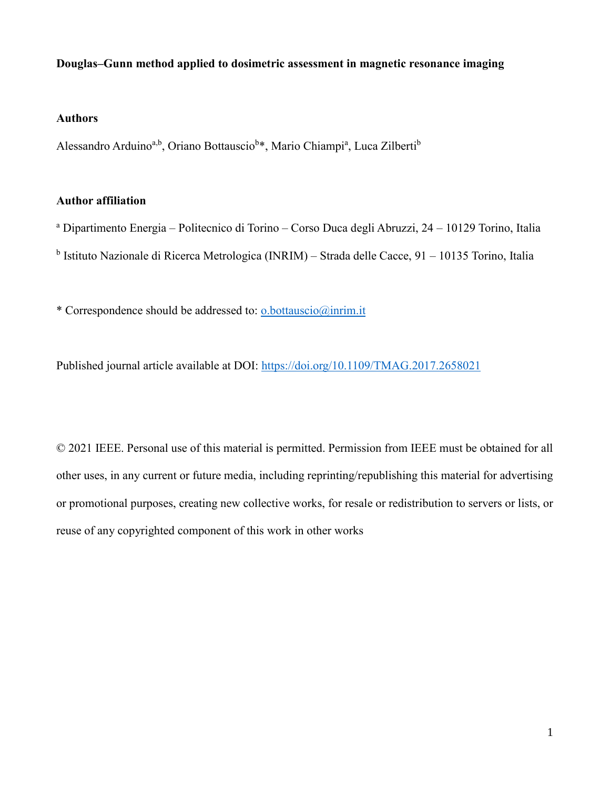## **Douglas–Gunn method applied to dosimetric assessment in magnetic resonance imaging**

### **Authors**

Alessandro Arduino<sup>a,b</sup>, Oriano Bottauscio<sup>b\*</sup>, Mario Chiampi<sup>a</sup>, Luca Zilberti<sup>b</sup>

## **Author affiliation**

<sup>a</sup> Dipartimento Energia – Politecnico di Torino – Corso Duca degli Abruzzi, 24 – 10129 Torino, Italia <sup>b</sup> Istituto Nazionale di Ricerca Metrologica (INRIM) – Strada delle Cacce, 91 – 10135 Torino, Italia

\* Correspondence should be addressed to: o.bottauscio@inrim.it

Published journal article available at DOI: https://doi.org/10.1109/TMAG.2017.2658021

© 2021 IEEE. Personal use of this material is permitted. Permission from IEEE must be obtained for all other uses, in any current or future media, including reprinting/republishing this material for advertising or promotional purposes, creating new collective works, for resale or redistribution to servers or lists, or reuse of any copyrighted component of this work in other works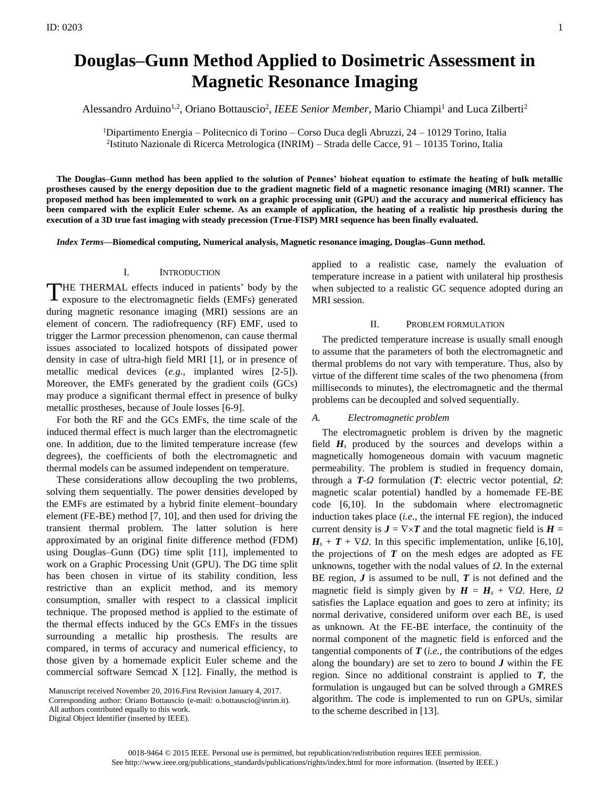## **Douglas–Gunn Method Applied to Dosimetric Assessment in Magnetic Resonance Imaging**

Alessandro Arduino<sup>1,2</sup>, Oriano Bottauscio<sup>2</sup>, IEEE Senior Member, Mario Chiampi<sup>1</sup> and Luca Zilberti<sup>2</sup>

<sup>1</sup>Dipartimento Energia – Politecnico di Torino – Corso Duca degli Abruzzi, 24 – 10129 Torino, Italia 2 Istituto Nazionale di Ricerca Metrologica (INRIM) – Strada delle Cacce, 91 – 10135 Torino, Italia

**The Douglas–Gunn method has been applied to the solution of Pennes' bioheat equation to estimate the heating of bulk metallic prostheses caused by the energy deposition due to the gradient magnetic field of a magnetic resonance imaging (MRI) scanner. The proposed method has been implemented to work on a graphic processing unit (GPU) and the accuracy and numerical efficiency has been compared with the explicit Euler scheme. As an example of application, the heating of a realistic hip prosthesis during the execution of a 3D true fast imaging with steady precession (True-FISP) MRI sequence has been finally evaluated.**

*Index Terms***—Biomedical computing, Numerical analysis, Magnetic resonance imaging, Douglas–Gunn method.**

#### I. INTRODUCTION

THE THERMAL effects induced in patients' body by the exposure to the electromagnetic fields (EMFs) generated exposure to the electromagnetic fields (EMFs) generated during magnetic resonance imaging (MRI) sessions are an element of concern. The radiofrequency (RF) EMF, used to trigger the Larmor precession phenomenon, can cause thermal issues associated to localized hotspots of dissipated power density in case of ultra-high field MRI [1], or in presence of metallic medical devices (*e.g.*, implanted wires [2-5]). Moreover, the EMFs generated by the gradient coils (GCs) may produce a significant thermal effect in presence of bulky metallic prostheses, because of Joule losses [6-9].

For both the RF and the GCs EMFs, the time scale of the induced thermal effect is much larger than the electromagnetic one. In addition, due to the limited temperature increase (few degrees), the coefficients of both the electromagnetic and thermal models can be assumed independent on temperature.

These considerations allow decoupling the two problems, solving them sequentially. The power densities developed by the EMFs are estimated by a hybrid finite element–boundary element (FE-BE) method [7, 10], and then used for driving the transient thermal problem. The latter solution is here approximated by an original finite difference method (FDM) using Douglas–Gunn (DG) time split [11], implemented to work on a Graphic Processing Unit (GPU). The DG time split has been chosen in virtue of its stability condition, less restrictive than an explicit method, and its memory consumption, smaller with respect to a classical implicit technique. The proposed method is applied to the estimate of the thermal effects induced by the GCs EMFs in the tissues surrounding a metallic hip prosthesis. The results are compared, in terms of accuracy and numerical efficiency, to those given by a homemade explicit Euler scheme and the commercial software Semcad X [12]. Finally, the method is

All authors contributed equally to this work.

Digital Object Identifier (inserted by IEEE).

applied to a realistic case, namely the evaluation of temperature increase in a patient with unilateral hip prosthesis when subjected to a realistic GC sequence adopted during an MRI session.

#### II. PROBLEM FORMULATION

The predicted temperature increase is usually small enough to assume that the parameters of both the electromagnetic and thermal problems do not vary with temperature. Thus, also by virtue of the different time scales of the two phenomena (from milliseconds to minutes), the electromagnetic and the thermal problems can be decoupled and solved sequentially.

#### *A. Electromagnetic problem*

The electromagnetic problem is driven by the magnetic field  $H_s$  produced by the sources and develops within a magnetically homogeneous domain with vacuum magnetic permeability. The problem is studied in frequency domain, through a *T*-*Ω* formulation (*T*: electric vector potential, *Ω*: magnetic scalar potential) handled by a homemade FE-BE code [6,10]. In the subdomain where electromagnetic induction takes place (*i.e.*, the internal FE region), the induced current density is  $J = \nabla \times T$  and the total magnetic field is  $H =$  $H_s + T + \nabla \Omega$ . In this specific implementation, unlike [6,10], the projections of  $T$  on the mesh edges are adopted as  $FE$ unknowns, together with the nodal values of *Ω*. In the external BE region, *J* is assumed to be null, *T* is not defined and the magnetic field is simply given by  $H = H_s + \nabla Q$ . Here,  $Q$ satisfies the Laplace equation and goes to zero at infinity; its normal derivative, considered uniform over each BE, is used as unknown. At the FE-BE interface, the continuity of the normal component of the magnetic field is enforced and the tangential components of  $T$  (*i.e.*, the contributions of the edges along the boundary) are set to zero to bound  $J$  within the FE region. Since no additional constraint is applied to *T*, the formulation is ungauged but can be solved through a GMRES algorithm. The code is implemented to run on GPUs, similar to the scheme described in [13].

Manuscript received November 20, 2016.First Revision January 4, 2017.

Corresponding author: Oriano Bottauscio (e-mail: o.bottauscio@inrim.it).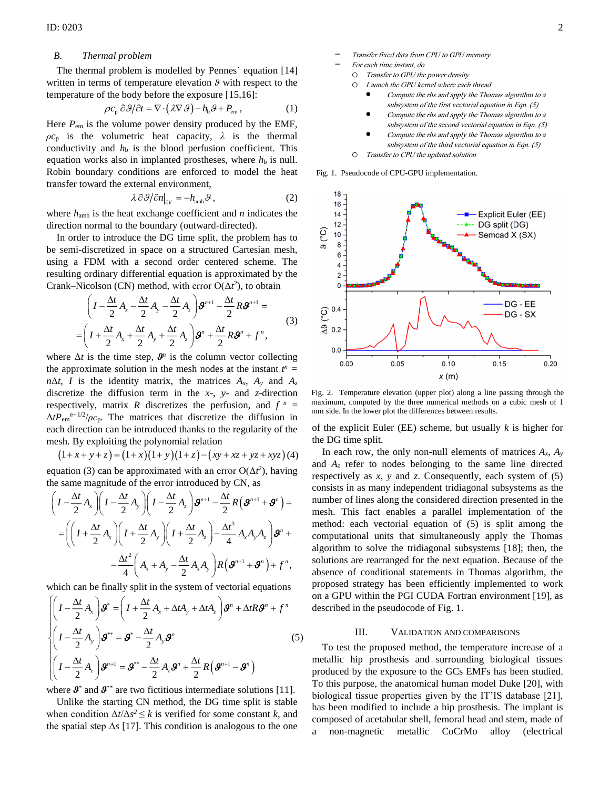#### *B. Thermal problem*

The thermal problem is modelled by Pennes' equation [14] written in terms of temperature elevation *ϑ* with respect to the temperature of the body before the exposure [15,16]:

$$
\rho c_{\rm p} \partial \theta / \partial t = \nabla \cdot (\lambda \nabla \theta) - h_{\rm b} \theta + P_{\rm em} \,, \tag{1}
$$

Here  $P_{\text{em}}$  is the volume power density produced by the EMF,  $\rho c_p$  is the volumetric heat capacity,  $\lambda$  is the thermal conductivity and  $h<sub>b</sub>$  is the blood perfusion coefficient. This equation works also in implanted prostheses, where  $h<sub>b</sub>$  is null. Robin boundary conditions are enforced to model the heat transfer toward the external environment,

$$
\lambda \partial \mathcal{G}/\partial n\big|_{\partial V} = -h_{\text{amb}} \mathcal{G},\qquad(2)
$$

where *h*amb is the heat exchange coefficient and *n* indicates the direction normal to the boundary (outward-directed).

In order to introduce the DG time split, the problem has to be semi-discretized in space on a structured Cartesian mesh, using a FDM with a second order centered scheme. The resulting ordinary differential equation is approximated by the Crank–Nicolson (CN) method, with error  $O(\Delta t^2)$ , to obtain

$$
\left(I - \frac{\Delta t}{2} A_x - \frac{\Delta t}{2} A_y - \frac{\Delta t}{2} A_z\right) \mathbf{g}^{n+1} - \frac{\Delta t}{2} R \mathbf{g}^{n+1} =
$$
\n
$$
= \left(I + \frac{\Delta t}{2} A_x + \frac{\Delta t}{2} A_y + \frac{\Delta t}{2} A_z\right) \mathbf{g}^n + \frac{\Delta t}{2} R \mathbf{g}^n + f^n,
$$
\n(3)

where  $\Delta t$  is the time step,  $\mathcal{S}^n$  is the column vector collecting the approximate solution in the mesh nodes at the instant  $t^n =$  $n\Delta t$ , *I* is the identity matrix, the matrices  $A_x$ ,  $A_y$  and  $A_z$ discretize the diffusion term in the *x*-, *y*- and *z*-direction respectively, matrix *R* discretizes the perfusion, and  $f^n =$  $\Delta t P_{\text{em}}^{n+1/2}/\rho c_{\text{p}}$ . The matrices that discretize the diffusion in each direction can be introduced thanks to the regularity of the mesh. By exploiting the polynomial relation

$$
(1+x+y+z) = (1+x)(1+y)(1+z) - (xy+xz+yz+xyz)
$$
 (4)

equation (3) can be approximated with an error  $O(\Delta t^2)$ , having the same magnitude of the error introduced by CN, as

$$
\left(I - \frac{\Delta t}{2} A_x\right)\left(I - \frac{\Delta t}{2} A_y\right)\left(I - \frac{\Delta t}{2} A_z\right)\mathcal{G}^{n+1} - \frac{\Delta t}{2} R\left(\mathcal{G}^{n+1} + \mathcal{G}^n\right) =
$$
\n
$$
= \left(\left(I + \frac{\Delta t}{2} A_x\right)\left(I + \frac{\Delta t}{2} A_y\right)\left(I + \frac{\Delta t}{2} A_z\right) - \frac{\Delta t^3}{4} A_x A_y A_z\right)\mathcal{G}^n +
$$
\n
$$
- \frac{\Delta t^2}{4}\left(A_x + A_y - \frac{\Delta t}{2} A_x A_y\right)R\left(\mathcal{G}^{n+1} + \mathcal{G}^n\right) + f^n,
$$

which can be finally split in the system of vectorial equations

$$
\begin{cases}\n\left(I - \frac{\Delta t}{2} A_x\right) \mathbf{S}^* = \left(I + \frac{\Delta t}{2} A_x + \Delta t A_y + \Delta t A_z\right) \mathbf{S}^n + \Delta t \mathbf{R} \mathbf{S}^n + f^n \\
\left(I - \frac{\Delta t}{2} A_y\right) \mathbf{S}^{**} = \mathbf{S}^* - \frac{\Delta t}{2} A_y \mathbf{S}^n \\
\left(I - \frac{\Delta t}{2} A_z\right) \mathbf{S}^{n+1} = \mathbf{S}^{**} - \frac{\Delta t}{2} A_z \mathbf{S}^n + \frac{\Delta t}{2} R \left(\mathbf{S}^{n+1} - \mathbf{S}^n\right)\n\end{cases}
$$
\n(5)

where  $\boldsymbol{\mathcal{S}}^*$  and  $\boldsymbol{\mathcal{S}}^{**}$  are two fictitious intermediate solutions [11].

Unlike the starting CN method, the DG time split is stable when condition  $\Delta t / \Delta s^2 \le k$  is verified for some constant *k*, and the spatial step Δ*s* [17]. This condition is analogous to the one

- For each time instant, do
	- o Transfer to GPU the power density o Launch the GPU kernel where each thread
		- Compute the rhs and apply the Thomas algorithm to a subsystem of the first vectorial equation in Eqn. (5)
		- Compute the rhs and apply the Thomas algorithm to a subsystem of the second vectorial equation in Eqn. (5)
		- Compute the rhs and apply the Thomas algorithm to a subsystem of the third vectorial equation in Eqn. (5)
	- o Transfer to CPU the updated solution

Fig. 1. Pseudocode of CPU-GPU implementation.



Fig. 2. Temperature elevation (upper plot) along a line passing through the maximum, computed by the three numerical methods on a cubic mesh of 1 mm side. In the lower plot the differences between results.

of the explicit Euler (EE) scheme, but usually *k* is higher for the DG time split.

In each row, the only non-null elements of matrices  $A_x$ ,  $A_y$ and *A<sup>z</sup>* refer to nodes belonging to the same line directed respectively as *x*, *y* and *z*. Consequently, each system of (5) consists in as many independent tridiagonal subsystems as the number of lines along the considered direction presented in the mesh. This fact enables a parallel implementation of the method: each vectorial equation of (5) is split among the computational units that simultaneously apply the Thomas algorithm to solve the tridiagonal subsystems [18]; then, the solutions are rearranged for the next equation. Because of the absence of conditional statements in Thomas algorithm, the proposed strategy has been efficiently implemented to work on a GPU within the PGI CUDA Fortran environment [19], as described in the pseudocode of Fig. 1.

#### III. VALIDATION AND COMPARISONS

To test the proposed method, the temperature increase of a metallic hip prosthesis and surrounding biological tissues produced by the exposure to the GCs EMFs has been studied. To this purpose, the anatomical human model Duke [20], with biological tissue properties given by the IT'IS database [21], has been modified to include a hip prosthesis. The implant is composed of acetabular shell, femoral head and stem, made of a non-magnetic metallic CoCrMo alloy (electrical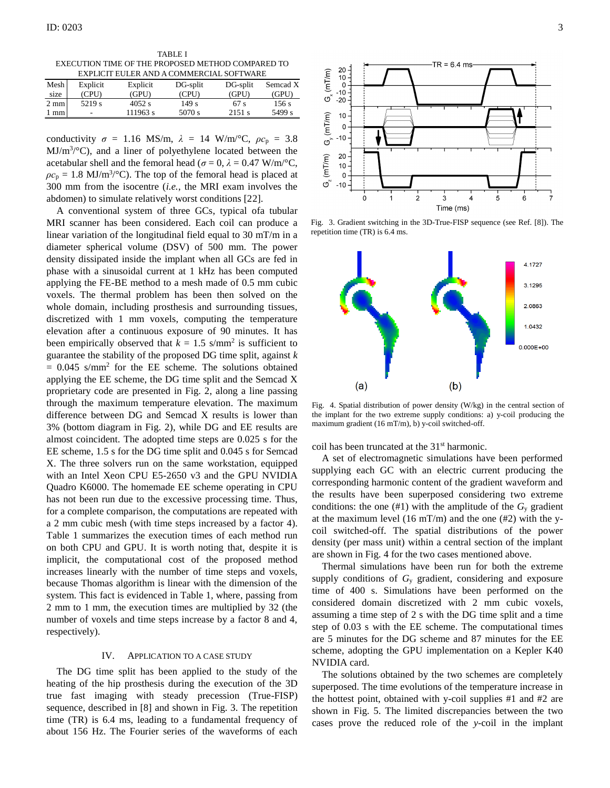TABLE I EXECUTION TIME OF THE PROPOSED METHOD COMPARED TO EXPLICIT EULER AND A COMMERCIAL SOFTWARE

| ЕЛІ ЕКП ЕСЕЕК АНР А СОМІЛЕКСІАЕ 901-1 ІЛЛІЕ |          |          |          |          |          |
|---------------------------------------------|----------|----------|----------|----------|----------|
| Mesh                                        | Explicit | Explicit | DG-split | DG-split | Semcad X |
| size                                        | (CPU)    | (GPU)    | (CPU)    | (GPU)    | (GPU)    |
| $2 \text{ mm}$                              | 5219 s   | $4052$ s | 149 s    | 67 s     | 156s     |
| l mm                                        | ۰        | 111963 s | 5070 s   | 2151 s   | 5499 s   |

conductivity  $\sigma = 1.16$  MS/m,  $\lambda = 14$  W/m/°C,  $\rho c_p = 3.8$ MJ/m<sup>3</sup>/°C), and a liner of polyethylene located between the acetabular shell and the femoral head ( $\sigma = 0$ ,  $\lambda = 0.47$  W/m/°C,  $\rho c_p = 1.8 \text{ MJ/m}^3/\textdegree C$ . The top of the femoral head is placed at 300 mm from the isocentre (*i.e.*, the MRI exam involves the abdomen) to simulate relatively worst conditions [22].

A conventional system of three GCs, typical ofa tubular MRI scanner has been considered. Each coil can produce a linear variation of the longitudinal field equal to 30 mT/m in a diameter spherical volume (DSV) of 500 mm. The power density dissipated inside the implant when all GCs are fed in phase with a sinusoidal current at 1 kHz has been computed applying the FE-BE method to a mesh made of 0.5 mm cubic voxels. The thermal problem has been then solved on the whole domain, including prosthesis and surrounding tissues, discretized with 1 mm voxels, computing the temperature elevation after a continuous exposure of 90 minutes. It has been empirically observed that  $k = 1.5$  s/mm<sup>2</sup> is sufficient to guarantee the stability of the proposed DG time split, against *k*  $= 0.045$  s/mm<sup>2</sup> for the EE scheme. The solutions obtained applying the EE scheme, the DG time split and the Semcad X proprietary code are presented in Fig. 2, along a line passing through the maximum temperature elevation. The maximum difference between DG and Semcad X results is lower than 3% (bottom diagram in Fig. 2), while DG and EE results are almost coincident. The adopted time steps are 0.025 s for the EE scheme, 1.5 s for the DG time split and 0.045 s for Semcad X. The three solvers run on the same workstation, equipped with an Intel Xeon CPU E5-2650 v3 and the GPU NVIDIA Quadro K6000. The homemade EE scheme operating in CPU has not been run due to the excessive processing time. Thus, for a complete comparison, the computations are repeated with a 2 mm cubic mesh (with time steps increased by a factor 4). Table 1 summarizes the execution times of each method run on both CPU and GPU. It is worth noting that, despite it is implicit, the computational cost of the proposed method increases linearly with the number of time steps and voxels, because Thomas algorithm is linear with the dimension of the system. This fact is evidenced in Table 1, where, passing from 2 mm to 1 mm, the execution times are multiplied by 32 (the number of voxels and time steps increase by a factor 8 and 4, respectively).

#### IV. APPLICATION TO A CASE STUDY

The DG time split has been applied to the study of the heating of the hip prosthesis during the execution of the 3D true fast imaging with steady precession (True-FISP) sequence, described in [8] and shown in Fig. 3. The repetition time (TR) is 6.4 ms, leading to a fundamental frequency of about 156 Hz. The Fourier series of the waveforms of each



Fig. 3. Gradient switching in the 3D-True-FISP sequence (see Ref. [8]). The repetition time (TR) is 6.4 ms.



Fig. 4. Spatial distribution of power density (W/kg) in the central section of the implant for the two extreme supply conditions: a) y-coil producing the maximum gradient (16 mT/m), b) y-coil switched-off.

coil has been truncated at the 31st harmonic.

A set of electromagnetic simulations have been performed supplying each GC with an electric current producing the corresponding harmonic content of the gradient waveform and the results have been superposed considering two extreme conditions: the one  $(\#1)$  with the amplitude of the  $G_y$  gradient at the maximum level  $(16 \text{ mT/m})$  and the one  $(#2)$  with the ycoil switched-off. The spatial distributions of the power density (per mass unit) within a central section of the implant are shown in Fig. 4 for the two cases mentioned above.

Thermal simulations have been run for both the extreme supply conditions of *G*<sup>y</sup> gradient, considering and exposure time of 400 s. Simulations have been performed on the considered domain discretized with 2 mm cubic voxels, assuming a time step of 2 s with the DG time split and a time step of 0.03 s with the EE scheme. The computational times are 5 minutes for the DG scheme and 87 minutes for the EE scheme, adopting the GPU implementation on a Kepler K40 NVIDIA card.

The solutions obtained by the two schemes are completely superposed. The time evolutions of the temperature increase in the hottest point, obtained with y-coil supplies #1 and #2 are shown in Fig. 5. The limited discrepancies between the two cases prove the reduced role of the *y*-coil in the implant